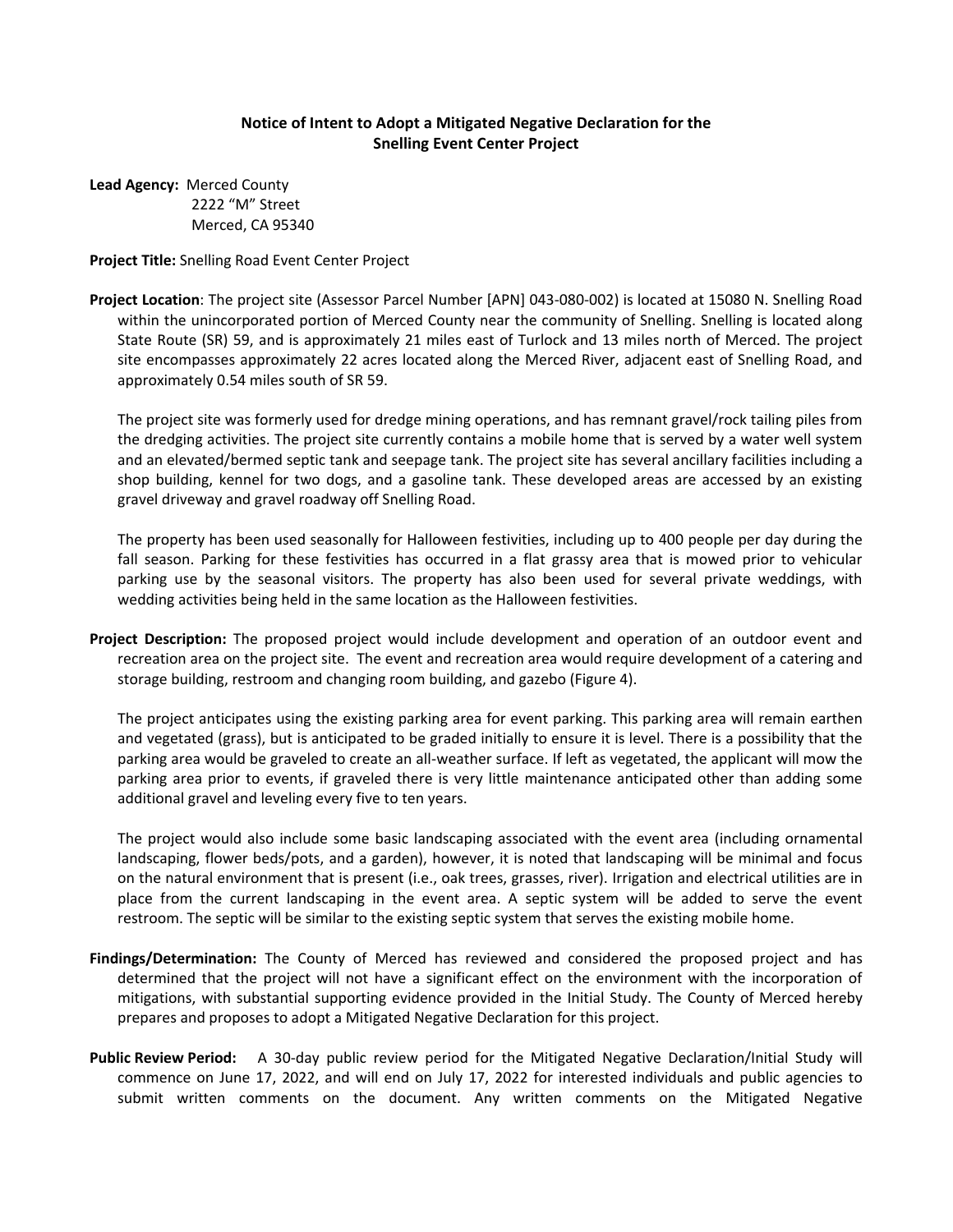## **Notice of Intent to Adopt a Mitigated Negative Declaration for the Snelling Event Center Project**

**Lead Agency:** Merced County 2222 "M" Street Merced, CA 95340

## **Project Title:** Snelling Road Event Center Project

**Project Location**: The project site (Assessor Parcel Number [APN] 043-080-002) is located at 15080 N. Snelling Road within the unincorporated portion of Merced County near the community of Snelling. Snelling is located along State Route (SR) 59, and is approximately 21 miles east of Turlock and 13 miles north of Merced. The project site encompasses approximately 22 acres located along the Merced River, adjacent east of Snelling Road, and approximately 0.54 miles south of SR 59.

The project site was formerly used for dredge mining operations, and has remnant gravel/rock tailing piles from the dredging activities. The project site currently contains a mobile home that is served by a water well system and an elevated/bermed septic tank and seepage tank. The project site has several ancillary facilities including a shop building, kennel for two dogs, and a gasoline tank. These developed areas are accessed by an existing gravel driveway and gravel roadway off Snelling Road.

The property has been used seasonally for Halloween festivities, including up to 400 people per day during the fall season. Parking for these festivities has occurred in a flat grassy area that is mowed prior to vehicular parking use by the seasonal visitors. The property has also been used for several private weddings, with wedding activities being held in the same location as the Halloween festivities.

**Project Description:** The proposed project would include development and operation of an outdoor event and recreation area on the project site. The event and recreation area would require development of a catering and storage building, restroom and changing room building, and gazebo (Figure 4).

The project anticipates using the existing parking area for event parking. This parking area will remain earthen and vegetated (grass), but is anticipated to be graded initially to ensure it is level. There is a possibility that the parking area would be graveled to create an all-weather surface. If left as vegetated, the applicant will mow the parking area prior to events, if graveled there is very little maintenance anticipated other than adding some additional gravel and leveling every five to ten years.

The project would also include some basic landscaping associated with the event area (including ornamental landscaping, flower beds/pots, and a garden), however, it is noted that landscaping will be minimal and focus on the natural environment that is present (i.e., oak trees, grasses, river). Irrigation and electrical utilities are in place from the current landscaping in the event area. A septic system will be added to serve the event restroom. The septic will be similar to the existing septic system that serves the existing mobile home.

- **Findings/Determination:** The County of Merced has reviewed and considered the proposed project and has determined that the project will not have a significant effect on the environment with the incorporation of mitigations, with substantial supporting evidence provided in the Initial Study. The County of Merced hereby prepares and proposes to adopt a Mitigated Negative Declaration for this project.
- **Public Review Period:** A 30-day public review period for the Mitigated Negative Declaration/Initial Study will commence on June 17, 2022, and will end on July 17, 2022 for interested individuals and public agencies to submit written comments on the document. Any written comments on the Mitigated Negative